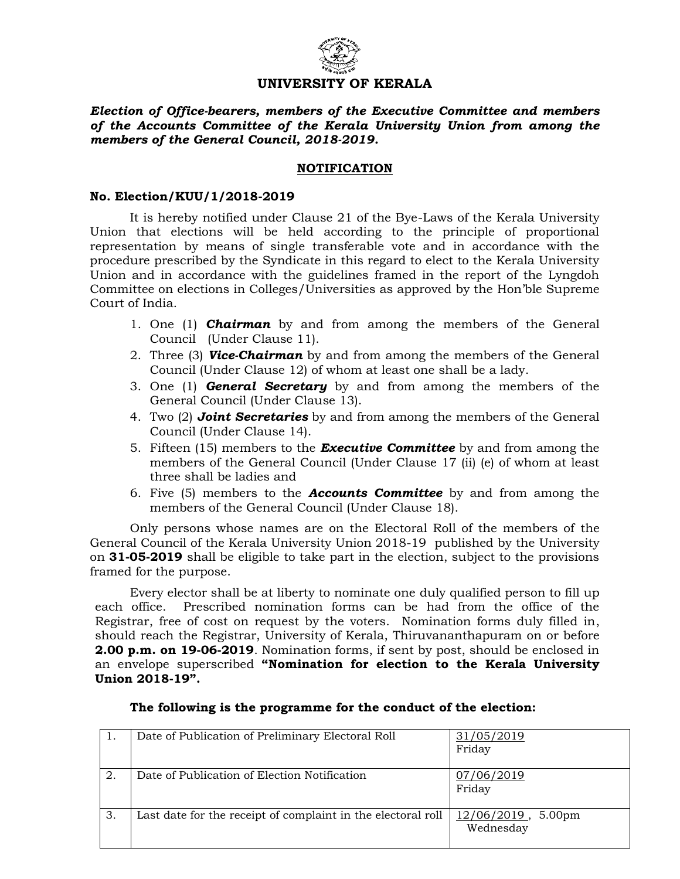

# **UNIVERSITY OF KERALA**

*Election of Office-bearers, members of the Executive Committee and members of the Accounts Committee of the Kerala University Union from among the members of the General Council, 2018-2019.*

# **NOTIFICATION**

#### **No. Election/KUU/1/2018-2019**

It is hereby notified under Clause 21 of the Bye-Laws of the Kerala University Union that elections will be held according to the principle of proportional representation by means of single transferable vote and in accordance with the procedure prescribed by the Syndicate in this regard to elect to the Kerala University Union and in accordance with the guidelines framed in the report of the Lyngdoh Committee on elections in Colleges/Universities as approved by the Hon'ble Supreme Court of India.

- 1. One (1) *Chairman* by and from among the members of the General Council (Under Clause 11).
- 2. Three (3) *Vice-Chairman* by and from among the members of the General Council (Under Clause 12) of whom at least one shall be a lady.
- 3. One (1) *General Secretary* by and from among the members of the General Council (Under Clause 13).
- 4. Two (2) *Joint Secretaries* by and from among the members of the General Council (Under Clause 14).
- 5. Fifteen (15) members to the *Executive Committee* by and from among the members of the General Council (Under Clause 17 (ii) (e) of whom at least three shall be ladies and
- 6. Five (5) members to the *Accounts Committee* by and from among the members of the General Council (Under Clause 18).

Only persons whose names are on the Electoral Roll of the members of the General Council of the Kerala University Union 2018-19 published by the University on **31-05-2019** shall be eligible to take part in the election, subject to the provisions framed for the purpose.

Every elector shall be at liberty to nominate one duly qualified person to fill up each office. Prescribed nomination forms can be had from the office of the Registrar, free of cost on request by the voters. Nomination forms duly filled in, should reach the Registrar, University of Kerala, Thiruvananthapuram on or before **2.00 p.m. on 19-06-2019**. Nomination forms, if sent by post, should be enclosed in an envelope superscribed **"Nomination for election to the Kerala University Union 2018-19".**

| 1. | Date of Publication of Preliminary Electoral Roll            | 31/05/2019<br>Friday                 |
|----|--------------------------------------------------------------|--------------------------------------|
|    |                                                              |                                      |
| 2. | Date of Publication of Election Notification                 | 07/06/2019                           |
|    |                                                              | Friday                               |
|    |                                                              |                                      |
|    |                                                              |                                      |
| 3. | Last date for the receipt of complaint in the electoral roll | $12/06/2019$ ,<br>5.00 <sub>pm</sub> |
|    |                                                              | Wednesday                            |
|    |                                                              |                                      |
|    |                                                              |                                      |

# **The following is the programme for the conduct of the election:**